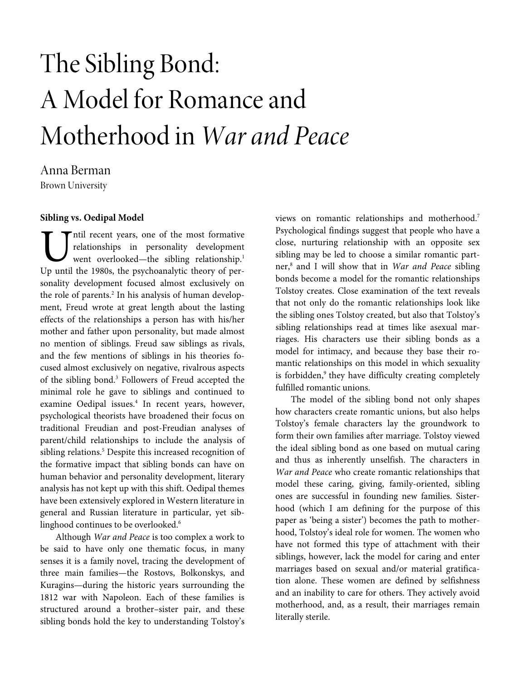# The Sibling Bond: A Model for Romance and Motherhood in War and Peace

Anna Berman Brown University

# **Sibling vs. Oedipal Model**

ntil recent years, one of the most formative relationships in personality development went overlooked—the sibling relationship.<sup>1</sup> The The 1980s, the personality development<br>
Up until the 1980s, the psychoanalytic theory of personality development focused almost exclusively on the role of parents.<sup>2</sup> In his analysis of human development, Freud wrote at great length about the lasting effects of the relationships a person has with his/her mother and father upon personality, but made almost no mention of siblings. Freud saw siblings as rivals, and the few mentions of siblings in his theories focused almost exclusively on negative, rivalrous aspects of the sibling bond.<sup>3</sup> Followers of Freud accepted the minimal role he gave to siblings and continued to examine Oedipal issues.<sup>4</sup> In recent years, however, psychological theorists have broadened their focus on traditional Freudian and post-Freudian analyses of parent/child relationships to include the analysis of sibling relations.<sup>5</sup> Despite this increased recognition of the formative impact that sibling bonds can have on human behavior and personality development, literary analysis has not kept up with this shift. Oedipal themes have been extensively explored in Western literature in general and Russian literature in particular, yet siblinghood continues to be overlooked.<sup>6</sup>

Although War and Peace is too complex a work to be said to have only one thematic focus, in many senses it is a family novel, tracing the development of three main families—the Rostovs, Bolkonskys, and Kuragins—during the historic years surrounding the 1812 war with Napoleon. Each of these families is structured around a brother–sister pair, and these sibling bonds hold the key to understanding Tolstoy's

views on romantic relationships and motherhood.<sup>7</sup> Psychological findings suggest that people who have a close, nurturing relationship with an opposite sex sibling may be led to choose a similar romantic partner,<sup>8</sup> and I will show that in War and Peace sibling bonds become a model for the romantic relationships Tolstoy creates. Close examination of the text reveals that not only do the romantic relationships look like the sibling ones Tolstoy created, but also that Tolstoy's sibling relationships read at times like asexual marriages. His characters use their sibling bonds as a model for intimacy, and because they base their romantic relationships on this model in which sexuality is forbidden,<sup>9</sup> they have difficulty creating completely fulfilled romantic unions.

The model of the sibling bond not only shapes how characters create romantic unions, but also helps Tolstoy's female characters lay the groundwork to form their own families after marriage. Tolstoy viewed the ideal sibling bond as one based on mutual caring and thus as inherently unselfish. The characters in War and Peace who create romantic relationships that model these caring, giving, family-oriented, sibling ones are successful in founding new families. Sisterhood (which I am defining for the purpose of this paper as 'being a sister') becomes the path to motherhood, Tolstoy's ideal role for women. The women who have not formed this type of attachment with their siblings, however, lack the model for caring and enter marriages based on sexual and/or material gratification alone. These women are defined by selfishness and an inability to care for others. They actively avoid motherhood, and, as a result, their marriages remain literally sterile.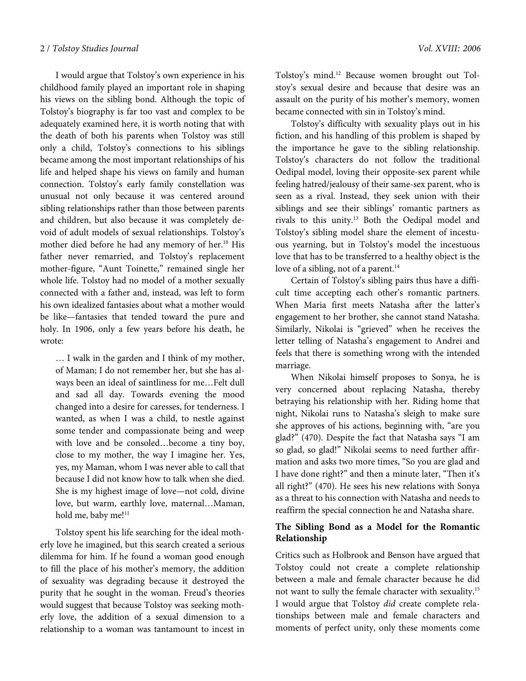I would argue that Tolstoy's own experience in his childhood family played an important role in shaping his views on the sibling bond. Although the topic of Tolstoy's biography is far too vast and complex to be adequately examined here, it is worth noting that with the death of both his parents when Tolstoy was still only a child, Tolstoy's connections to his siblings became among the most important relationships of his life and helped shape his views on family and human connection. Tolstoy's early family constellation was unusual not only because it was centered around sibling relationships rather than those between parents and children, but also because it was completely devoid of adult models of sexual relationships. Tolstoy's mother died before he had any memory of her.<sup>10</sup> His father never remarried, and Tolstoy's replacement mother-figure, "Aunt Toinette," remained single her whole life. Tolstoy had no model of a mother sexually connected with a father and, instead, was left to form his own idealized fantasies about what a mother would be like—fantasies that tended toward the pure and holy. In 1906, only a few years before his death, he wrote:

… I walk in the garden and I think of my mother, of Maman; I do not remember her, but she has always been an ideal of saintliness for me…Felt dull and sad all day. Towards evening the mood changed into a desire for caresses, for tenderness. I wanted, as when I was a child, to nestle against some tender and compassionate being and weep with love and be consoled…become a tiny boy, close to my mother, the way I imagine her. Yes, yes, my Maman, whom I was never able to call that because I did not know how to talk when she died. She is my highest image of love—not cold, divine love, but warm, earthly love, maternal…Maman, hold me, baby me!<sup>11</sup>

Tolstoy spent his life searching for the ideal motherly love he imagined, but this search created a serious dilemma for him. If he found a woman good enough to fill the place of his mother's memory, the addition of sexuality was degrading because it destroyed the purity that he sought in the woman. Freud's theories would suggest that because Tolstoy was seeking motherly love, the addition of a sexual dimension to a relationship to a woman was tantamount to incest in

Tolstoy's mind.12 Because women brought out Tolstoy's sexual desire and because that desire was an assault on the purity of his mother's memory, women became connected with sin in Tolstoy's mind.

Tolstoy's difficulty with sexuality plays out in his fiction, and his handling of this problem is shaped by the importance he gave to the sibling relationship. Tolstoy's characters do not follow the traditional Oedipal model, loving their opposite-sex parent while feeling hatred/jealousy of their same-sex parent, who is seen as a rival. Instead, they seek union with their siblings and see their siblings' romantic partners as rivals to this unity.<sup>13</sup> Both the Oedipal model and Tolstoy's sibling model share the element of incestuous yearning, but in Tolstoy's model the incestuous love that has to be transferred to a healthy object is the love of a sibling, not of a parent.<sup>14</sup>

Certain of Tolstoy's sibling pairs thus have a difficult time accepting each other's romantic partners. When Maria first meets Natasha after the latter's engagement to her brother, she cannot stand Natasha. Similarly, Nikolai is "grieved" when he receives the letter telling of Natasha's engagement to Andrei and feels that there is something wrong with the intended marriage.

When Nikolai himself proposes to Sonya, he is very concerned about replacing Natasha, thereby betraying his relationship with her. Riding home that night, Nikolai runs to Natasha's sleigh to make sure she approves of his actions, beginning with, "are you glad?" (470). Despite the fact that Natasha says "I am so glad, so glad!" Nikolai seems to need further affirmation and asks two more times, "So you are glad and I have done right?" and then a minute later, "Then it's all right?" (470). He sees his new relations with Sonya as a threat to his connection with Natasha and needs to reaffirm the special connection he and Natasha share.

## **The Sibling Bond as a Model for the Romantic Relationship**

Critics such as Holbrook and Benson have argued that Tolstoy could not create a complete relationship between a male and female character because he did not want to sully the female character with sexuality.<sup>15</sup> I would argue that Tolstoy did create complete relationships between male and female characters and moments of perfect unity, only these moments come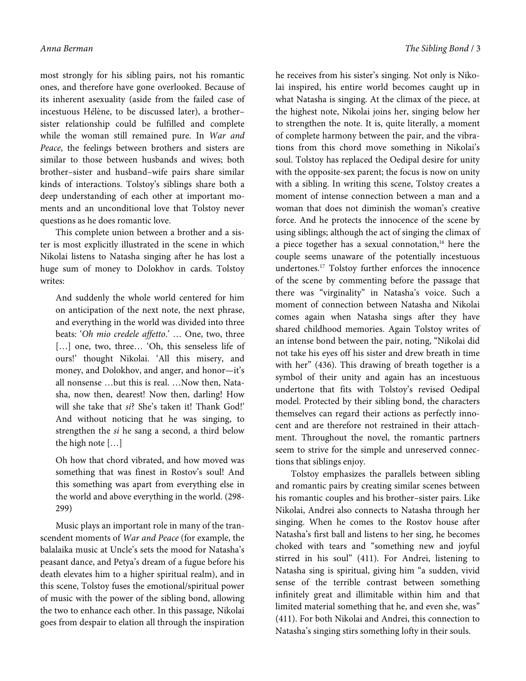most strongly for his sibling pairs, not his romantic ones, and therefore have gone overlooked. Because of its inherent asexuality (aside from the failed case of incestuous Hélène, to be discussed later), a brothersister relationship could be fulfilled and complete while the woman still remained pure. In War and Peace, the feelings between brothers and sisters are similar to those between husbands and wives; both brother–sister and husband–wife pairs share similar kinds of interactions. Tolstoy's siblings share both a deep understanding of each other at important moments and an unconditional love that Tolstoy never questions as he does romantic love.

This complete union between a brother and a sister is most explicitly illustrated in the scene in which Nikolai listens to Natasha singing after he has lost a huge sum of money to Dolokhov in cards. Tolstoy writes:

And suddenly the whole world centered for him on anticipation of the next note, the next phrase, and everything in the world was divided into three beats: 'Oh mio credele affetto.' … One, two, three [...] one, two, three... 'Oh, this senseless life of ours!' thought Nikolai. 'All this misery, and money, and Dolokhov, and anger, and honor—it's all nonsense …but this is real. …Now then, Natasha, now then, dearest! Now then, darling! How will she take that si? She's taken it! Thank God!' And without noticing that he was singing, to strengthen the si he sang a second, a third below the high note […]

Oh how that chord vibrated, and how moved was something that was finest in Rostov's soul! And this something was apart from everything else in the world and above everything in the world. (298- 299)

Music plays an important role in many of the transcendent moments of War and Peace (for example, the balalaika music at Uncle's sets the mood for Natasha's peasant dance, and Petya's dream of a fugue before his death elevates him to a higher spiritual realm), and in this scene, Tolstoy fuses the emotional/spiritual power of music with the power of the sibling bond, allowing the two to enhance each other. In this passage, Nikolai goes from despair to elation all through the inspiration

he receives from his sister's singing. Not only is Nikolai inspired, his entire world becomes caught up in what Natasha is singing. At the climax of the piece, at the highest note, Nikolai joins her, singing below her to strengthen the note. It is, quite literally, a moment of complete harmony between the pair, and the vibrations from this chord move something in Nikolai's soul. Tolstoy has replaced the Oedipal desire for unity with the opposite-sex parent; the focus is now on unity with a sibling. In writing this scene, Tolstoy creates a moment of intense connection between a man and a woman that does not diminish the woman's creative force. And he protects the innocence of the scene by using siblings; although the act of singing the climax of a piece together has a sexual connotation, $16$  here the couple seems unaware of the potentially incestuous undertones.<sup>17</sup> Tolstoy further enforces the innocence of the scene by commenting before the passage that there was "virginality" in Natasha's voice. Such a moment of connection between Natasha and Nikolai comes again when Natasha sings after they have shared childhood memories. Again Tolstoy writes of an intense bond between the pair, noting, "Nikolai did not take his eyes off his sister and drew breath in time with her" (436). This drawing of breath together is a symbol of their unity and again has an incestuous undertone that fits with Tolstoy's revised Oedipal model. Protected by their sibling bond, the characters themselves can regard their actions as perfectly innocent and are therefore not restrained in their attachment. Throughout the novel, the romantic partners seem to strive for the simple and unreserved connections that siblings enjoy.

Tolstoy emphasizes the parallels between sibling and romantic pairs by creating similar scenes between his romantic couples and his brother–sister pairs. Like Nikolai, Andrei also connects to Natasha through her singing. When he comes to the Rostov house after Natasha's first ball and listens to her sing, he becomes choked with tears and "something new and joyful stirred in his soul" (411). For Andrei, listening to Natasha sing is spiritual, giving him "a sudden, vivid sense of the terrible contrast between something infinitely great and illimitable within him and that limited material something that he, and even she, was" (411). For both Nikolai and Andrei, this connection to Natasha's singing stirs something lofty in their souls.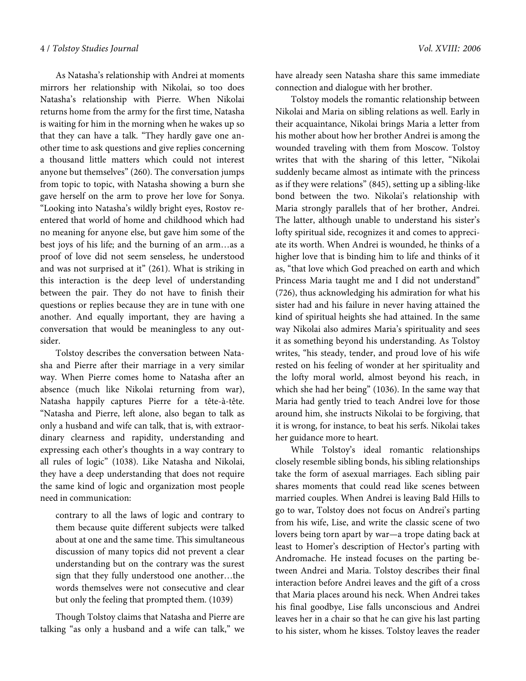As Natasha's relationship with Andrei at moments mirrors her relationship with Nikolai, so too does Natasha's relationship with Pierre. When Nikolai returns home from the army for the first time, Natasha is waiting for him in the morning when he wakes up so that they can have a talk. "They hardly gave one another time to ask questions and give replies concerning a thousand little matters which could not interest anyone but themselves" (260). The conversation jumps from topic to topic, with Natasha showing a burn she gave herself on the arm to prove her love for Sonya. "Looking into Natasha's wildly bright eyes, Rostov reentered that world of home and childhood which had no meaning for anyone else, but gave him some of the best joys of his life; and the burning of an arm…as a proof of love did not seem senseless, he understood and was not surprised at it" (261). What is striking in this interaction is the deep level of understanding between the pair. They do not have to finish their questions or replies because they are in tune with one another. And equally important, they are having a conversation that would be meaningless to any outsider.

Tolstoy describes the conversation between Natasha and Pierre after their marriage in a very similar way. When Pierre comes home to Natasha after an absence (much like Nikolai returning from war), Natasha happily captures Pierre for a tête-à-tête. "Natasha and Pierre, left alone, also began to talk as only a husband and wife can talk, that is, with extraordinary clearness and rapidity, understanding and expressing each other's thoughts in a way contrary to all rules of logic" (1038). Like Natasha and Nikolai, they have a deep understanding that does not require the same kind of logic and organization most people need in communication:

contrary to all the laws of logic and contrary to them because quite different subjects were talked about at one and the same time. This simultaneous discussion of many topics did not prevent a clear understanding but on the contrary was the surest sign that they fully understood one another…the words themselves were not consecutive and clear but only the feeling that prompted them. (1039)

Though Tolstoy claims that Natasha and Pierre are talking "as only a husband and a wife can talk," we have already seen Natasha share this same immediate connection and dialogue with her brother.

Tolstoy models the romantic relationship between Nikolai and Maria on sibling relations as well. Early in their acquaintance, Nikolai brings Maria a letter from his mother about how her brother Andrei is among the wounded traveling with them from Moscow. Tolstoy writes that with the sharing of this letter, "Nikolai suddenly became almost as intimate with the princess as if they were relations" (845), setting up a sibling-like bond between the two. Nikolai's relationship with Maria strongly parallels that of her brother, Andrei. The latter, although unable to understand his sister's lofty spiritual side, recognizes it and comes to appreciate its worth. When Andrei is wounded, he thinks of a higher love that is binding him to life and thinks of it as, "that love which God preached on earth and which Princess Maria taught me and I did not understand" (726), thus acknowledging his admiration for what his sister had and his failure in never having attained the kind of spiritual heights she had attained. In the same way Nikolai also admires Maria's spirituality and sees it as something beyond his understanding. As Tolstoy writes, "his steady, tender, and proud love of his wife rested on his feeling of wonder at her spirituality and the lofty moral world, almost beyond his reach, in which she had her being" (1036). In the same way that Maria had gently tried to teach Andrei love for those around him, she instructs Nikolai to be forgiving, that it is wrong, for instance, to beat his serfs. Nikolai takes her guidance more to heart.

While Tolstoy's ideal romantic relationships closely resemble sibling bonds, his sibling relationships take the form of asexual marriages. Each sibling pair shares moments that could read like scenes between married couples. When Andrei is leaving Bald Hills to go to war, Tolstoy does not focus on Andrei's parting from his wife, Lise, and write the classic scene of two lovers being torn apart by war—a trope dating back at least to Homer's description of Hector's parting with Andromache. He instead focuses on the parting between Andrei and Maria. Tolstoy describes their final interaction before Andrei leaves and the gift of a cross that Maria places around his neck. When Andrei takes his final goodbye, Lise falls unconscious and Andrei leaves her in a chair so that he can give his last parting to his sister, whom he kisses. Tolstoy leaves the reader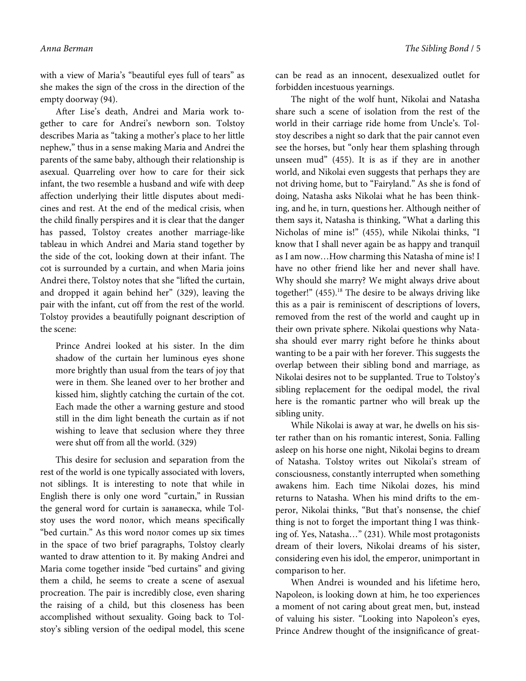with a view of Maria's "beautiful eyes full of tears" as she makes the sign of the cross in the direction of the empty doorway (94).

After Lise's death, Andrei and Maria work together to care for Andrei's newborn son. Tolstoy describes Maria as "taking a mother's place to her little nephew," thus in a sense making Maria and Andrei the parents of the same baby, although their relationship is asexual. Quarreling over how to care for their sick infant, the two resemble a husband and wife with deep affection underlying their little disputes about medicines and rest. At the end of the medical crisis, when the child finally perspires and it is clear that the danger has passed, Tolstoy creates another marriage-like tableau in which Andrei and Maria stand together by the side of the cot, looking down at their infant. The cot is surrounded by a curtain, and when Maria joins Andrei there, Tolstoy notes that she "lifted the curtain, and dropped it again behind her" (329), leaving the pair with the infant, cut off from the rest of the world. Tolstoy provides a beautifully poignant description of the scene:

Prince Andrei looked at his sister. In the dim shadow of the curtain her luminous eyes shone more brightly than usual from the tears of joy that were in them. She leaned over to her brother and kissed him, slightly catching the curtain of the cot. Each made the other a warning gesture and stood still in the dim light beneath the curtain as if not wishing to leave that seclusion where they three were shut off from all the world. (329)

This desire for seclusion and separation from the rest of the world is one typically associated with lovers, not siblings. It is interesting to note that while in English there is only one word "curtain," in Russian the general word for curtain is занавеска, while Tolstoy uses the word полог, which means specifically "bed curtain." As this word полог comes up six times in the space of two brief paragraphs, Tolstoy clearly wanted to draw attention to it. By making Andrei and Maria come together inside "bed curtains" and giving them a child, he seems to create a scene of asexual procreation. The pair is incredibly close, even sharing the raising of a child, but this closeness has been accomplished without sexuality. Going back to Tolstoy's sibling version of the oedipal model, this scene

can be read as an innocent, desexualized outlet for forbidden incestuous yearnings.

The night of the wolf hunt, Nikolai and Natasha share such a scene of isolation from the rest of the world in their carriage ride home from Uncle's. Tolstoy describes a night so dark that the pair cannot even see the horses, but "only hear them splashing through unseen mud" (455). It is as if they are in another world, and Nikolai even suggests that perhaps they are not driving home, but to "Fairyland." As she is fond of doing, Natasha asks Nikolai what he has been thinking, and he, in turn, questions her. Although neither of them says it, Natasha is thinking, "What a darling this Nicholas of mine is!" (455), while Nikolai thinks, "I know that I shall never again be as happy and tranquil as I am now…How charming this Natasha of mine is! I have no other friend like her and never shall have. Why should she marry? We might always drive about together!" (455).<sup>18</sup> The desire to be always driving like this as a pair is reminiscent of descriptions of lovers, removed from the rest of the world and caught up in their own private sphere. Nikolai questions why Natasha should ever marry right before he thinks about wanting to be a pair with her forever. This suggests the overlap between their sibling bond and marriage, as Nikolai desires not to be supplanted. True to Tolstoy's sibling replacement for the oedipal model, the rival here is the romantic partner who will break up the sibling unity.

While Nikolai is away at war, he dwells on his sister rather than on his romantic interest, Sonia. Falling asleep on his horse one night, Nikolai begins to dream of Natasha. Tolstoy writes out Nikolai's stream of consciousness, constantly interrupted when something awakens him. Each time Nikolai dozes, his mind returns to Natasha. When his mind drifts to the emperor, Nikolai thinks, "But that's nonsense, the chief thing is not to forget the important thing I was thinking of. Yes, Natasha…" (231). While most protagonists dream of their lovers, Nikolai dreams of his sister, considering even his idol, the emperor, unimportant in comparison to her.

When Andrei is wounded and his lifetime hero, Napoleon, is looking down at him, he too experiences a moment of not caring about great men, but, instead of valuing his sister. "Looking into Napoleon's eyes, Prince Andrew thought of the insignificance of great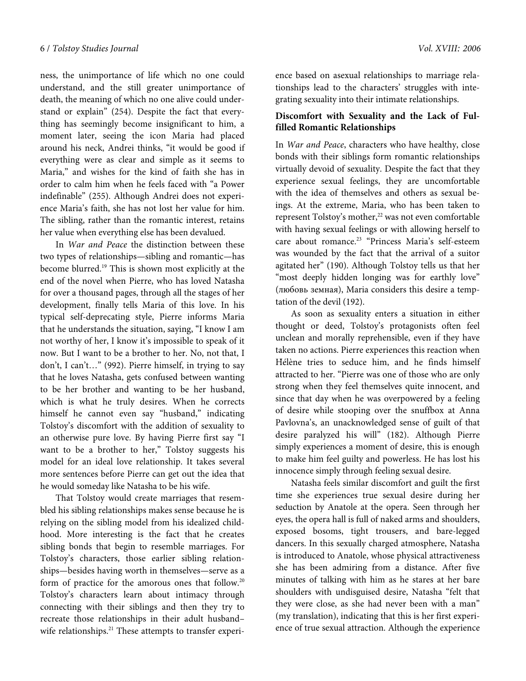ness, the unimportance of life which no one could understand, and the still greater unimportance of death, the meaning of which no one alive could understand or explain" (254). Despite the fact that everything has seemingly become insignificant to him, a moment later, seeing the icon Maria had placed around his neck, Andrei thinks, "it would be good if everything were as clear and simple as it seems to Maria," and wishes for the kind of faith she has in order to calm him when he feels faced with "a Power indefinable" (255). Although Andrei does not experience Maria's faith, she has not lost her value for him. The sibling, rather than the romantic interest, retains her value when everything else has been devalued.

In War and Peace the distinction between these two types of relationships—sibling and romantic—has become blurred.<sup>19</sup> This is shown most explicitly at the end of the novel when Pierre, who has loved Natasha for over a thousand pages, through all the stages of her development, finally tells Maria of this love. In his typical self-deprecating style, Pierre informs Maria that he understands the situation, saying, "I know I am not worthy of her, I know it's impossible to speak of it now. But I want to be a brother to her. No, not that, I don't, I can't…" (992). Pierre himself, in trying to say that he loves Natasha, gets confused between wanting to be her brother and wanting to be her husband, which is what he truly desires. When he corrects himself he cannot even say "husband," indicating Tolstoy's discomfort with the addition of sexuality to an otherwise pure love. By having Pierre first say "I want to be a brother to her," Tolstoy suggests his model for an ideal love relationship. It takes several more sentences before Pierre can get out the idea that he would someday like Natasha to be his wife.

That Tolstoy would create marriages that resembled his sibling relationships makes sense because he is relying on the sibling model from his idealized childhood. More interesting is the fact that he creates sibling bonds that begin to resemble marriages. For Tolstoy's characters, those earlier sibling relationships—besides having worth in themselves—serve as a form of practice for the amorous ones that follow.<sup>20</sup> Tolstoy's characters learn about intimacy through connecting with their siblings and then they try to recreate those relationships in their adult husband– wife relationships.<sup>21</sup> These attempts to transfer experience based on asexual relationships to marriage relationships lead to the characters' struggles with integrating sexuality into their intimate relationships.

# **Discomfort with Sexuality and the Lack of Fulfilled Romantic Relationships**

In War and Peace, characters who have healthy, close bonds with their siblings form romantic relationships virtually devoid of sexuality. Despite the fact that they experience sexual feelings, they are uncomfortable with the idea of themselves and others as sexual beings. At the extreme, Maria, who has been taken to represent Tolstoy's mother,<sup>22</sup> was not even comfortable with having sexual feelings or with allowing herself to care about romance.<sup>23</sup> "Princess Maria's self-esteem was wounded by the fact that the arrival of a suitor agitated her" (190). Although Tolstoy tells us that her "most deeply hidden longing was for earthly love" (любовь земная), Maria considers this desire a temptation of the devil (192).

As soon as sexuality enters a situation in either thought or deed, Tolstoy's protagonists often feel unclean and morally reprehensible, even if they have taken no actions. Pierre experiences this reaction when Hélène tries to seduce him, and he finds himself attracted to her. "Pierre was one of those who are only strong when they feel themselves quite innocent, and since that day when he was overpowered by a feeling of desire while stooping over the snuffbox at Anna Pavlovna's, an unacknowledged sense of guilt of that desire paralyzed his will" (182). Although Pierre simply experiences a moment of desire, this is enough to make him feel guilty and powerless. He has lost his innocence simply through feeling sexual desire.

Natasha feels similar discomfort and guilt the first time she experiences true sexual desire during her seduction by Anatole at the opera. Seen through her eyes, the opera hall is full of naked arms and shoulders, exposed bosoms, tight trousers, and bare-legged dancers. In this sexually charged atmosphere, Natasha is introduced to Anatole, whose physical attractiveness she has been admiring from a distance. After five minutes of talking with him as he stares at her bare shoulders with undisguised desire, Natasha "felt that they were close, as she had never been with a man" (my translation), indicating that this is her first experience of true sexual attraction. Although the experience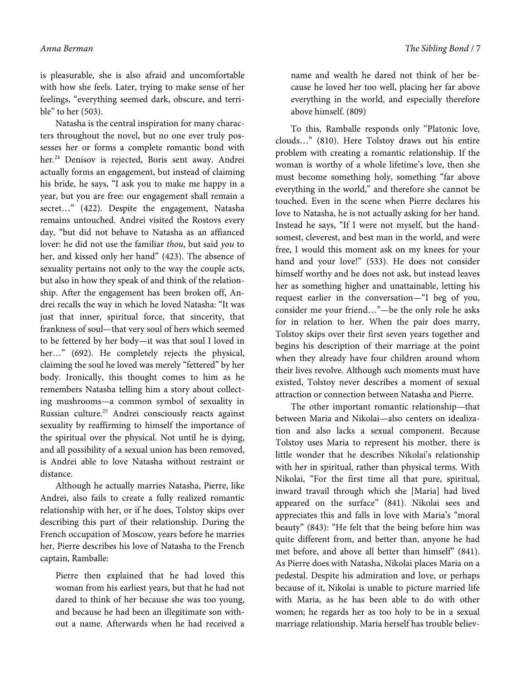is pleasurable, she is also afraid and uncomfortable with how she feels. Later, trying to make sense of her feelings, "everything seemed dark, obscure, and terrible" to her (503).

Natasha is the central inspiration for many characters throughout the novel, but no one ever truly possesses her or forms a complete romantic bond with her.<sup>24</sup> Denisov is rejected, Boris sent away. Andrei actually forms an engagement, but instead of claiming his bride, he says, "I ask you to make me happy in a year, but you are free: our engagement shall remain a secret..." (422). Despite the engagement, Natasha remains untouched. Andrei visited the Rostovs every day, "but did not behave to Natasha as an affianced lover: he did not use the familiar thou, but said you to her, and kissed only her hand" (423). The absence of sexuality pertains not only to the way the couple acts, but also in how they speak of and think of the relationship. After the engagement has been broken off, Andrei recalls the way in which he loved Natasha: "It was just that inner, spiritual force, that sincerity, that frankness of soul—that very soul of hers which seemed to be fettered by her body—it was that soul I loved in her..." (692). He completely rejects the physical, claiming the soul he loved was merely "fettered" by her body. Ironically, this thought comes to him as he remembers Natasha telling him a story about collecting mushrooms—a common symbol of sexuality in Russian culture.<sup>25</sup> Andrei consciously reacts against sexuality by reaffirming to himself the importance of the spiritual over the physical. Not until he is dying, and all possibility of a sexual union has been removed, is Andrei able to love Natasha without restraint or distance.

Although he actually marries Natasha, Pierre, like Andrei, also fails to create a fully realized romantic relationship with her, or if he does, Tolstoy skips over describing this part of their relationship. During the French occupation of Moscow, years before he marries her, Pierre describes his love of Natasha to the French captain, Ramballe:

Pierre then explained that he had loved this woman from his earliest years, but that he had not dared to think of her because she was too young, and because he had been an illegitimate son without a name. Afterwards when he had received a

name and wealth he dared not think of her because he loved her too well, placing her far above everything in the world, and especially therefore above himself. (809)

To this, Ramballe responds only "Platonic love, clouds…" (810). Here Tolstoy draws out his entire problem with creating a romantic relationship. If the woman is worthy of a whole lifetime's love, then she must become something holy, something "far above everything in the world," and therefore she cannot be touched. Even in the scene when Pierre declares his love to Natasha, he is not actually asking for her hand. Instead he says, "If I were not myself, but the handsomest, cleverest, and best man in the world, and were free, I would this moment ask on my knees for your hand and your love!" (533). He does not consider himself worthy and he does not ask, but instead leaves her as something higher and unattainable, letting his request earlier in the conversation—"I beg of you, consider me your friend…"—be the only role he asks for in relation to her. When the pair does marry, Tolstoy skips over their first seven years together and begins his description of their marriage at the point when they already have four children around whom their lives revolve. Although such moments must have existed, Tolstoy never describes a moment of sexual attraction or connection between Natasha and Pierre.

The other important romantic relationship—that between Maria and Nikolai—also centers on idealization and also lacks a sexual component. Because Tolstoy uses Maria to represent his mother, there is little wonder that he describes Nikolai's relationship with her in spiritual, rather than physical terms. With Nikolai, "For the first time all that pure, spiritual, inward travail through which she [Maria] had lived appeared on the surface" (841). Nikolai sees and appreciates this and falls in love with Maria's "moral beauty" (843): "He felt that the being before him was quite different from, and better than, anyone he had met before, and above all better than himself" (841). As Pierre does with Natasha, Nikolai places Maria on a pedestal. Despite his admiration and love, or perhaps because of it, Nikolai is unable to picture married life with Maria, as he has been able to do with other women; he regards her as too holy to be in a sexual marriage relationship. Maria herself has trouble believ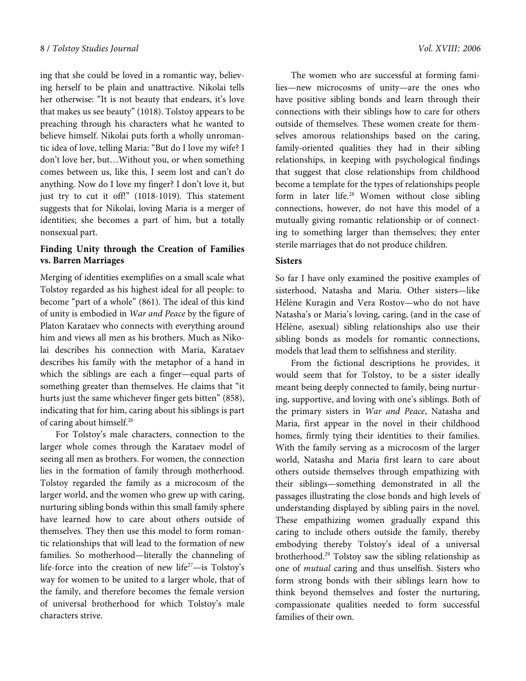ing that she could be loved in a romantic way, believing herself to be plain and unattractive. Nikolai tells her otherwise: "It is not beauty that endears, it's love that makes us see beauty" (1018). Tolstoy appears to be preaching through his characters what he wanted to believe himself. Nikolai puts forth a wholly unromantic idea of love, telling Maria: "But do I love my wife? I don't love her, but…Without you, or when something comes between us, like this, I seem lost and can't do anything. Now do I love my finger? I don't love it, but just try to cut it off!" (1018-1019). This statement suggests that for Nikolai, loving Maria is a merger of identities; she becomes a part of him, but a totally nonsexual part.

# **Finding Unity through the Creation of Families vs. Barren Marriages**

Merging of identities exemplifies on a small scale what Tolstoy regarded as his highest ideal for all people: to become "part of a whole" (861). The ideal of this kind of unity is embodied in War and Peace by the figure of Platon Karataev who connects with everything around him and views all men as his brothers. Much as Nikolai describes his connection with Maria, Karataev describes his family with the metaphor of a hand in which the siblings are each a finger—equal parts of something greater than themselves. He claims that "it hurts just the same whichever finger gets bitten" (858), indicating that for him, caring about his siblings is part of caring about himself.<sup>26</sup>

For Tolstoy's male characters, connection to the larger whole comes through the Karataev model of seeing all men as brothers. For women, the connection lies in the formation of family through motherhood. Tolstoy regarded the family as a microcosm of the larger world, and the women who grew up with caring, nurturing sibling bonds within this small family sphere have learned how to care about others outside of themselves. They then use this model to form romantic relationships that will lead to the formation of new families. So motherhood—literally the channeling of life-force into the creation of new life<sup>27</sup>—is Tolstoy's way for women to be united to a larger whole, that of the family, and therefore becomes the female version of universal brotherhood for which Tolstoy's male characters strive.

The women who are successful at forming families—new microcosms of unity—are the ones who have positive sibling bonds and learn through their connections with their siblings how to care for others outside of themselves. These women create for themselves amorous relationships based on the caring, family-oriented qualities they had in their sibling relationships, in keeping with psychological findings that suggest that close relationships from childhood become a template for the types of relationships people form in later life.<sup>28</sup> Women without close sibling connections, however, do not have this model of a mutually giving romantic relationship or of connecting to something larger than themselves; they enter sterile marriages that do not produce children.

#### **Sisters**

So far I have only examined the positive examples of sisterhood, Natasha and Maria. Other sisters—like Hélène Kuragin and Vera Rostov-who do not have Natasha's or Maria's loving, caring, (and in the case of Hélène, asexual) sibling relationships also use their sibling bonds as models for romantic connections, models that lead them to selfishness and sterility.

From the fictional descriptions he provides, it would seem that for Tolstoy, to be a sister ideally meant being deeply connected to family, being nurturing, supportive, and loving with one's siblings. Both of the primary sisters in War and Peace, Natasha and Maria, first appear in the novel in their childhood homes, firmly tying their identities to their families. With the family serving as a microcosm of the larger world, Natasha and Maria first learn to care about others outside themselves through empathizing with their siblings—something demonstrated in all the passages illustrating the close bonds and high levels of understanding displayed by sibling pairs in the novel. These empathizing women gradually expand this caring to include others outside the family, thereby embodying thereby Tolstoy's ideal of a universal brotherhood.<sup>29</sup> Tolstoy saw the sibling relationship as one of mutual caring and thus unselfish. Sisters who form strong bonds with their siblings learn how to think beyond themselves and foster the nurturing, compassionate qualities needed to form successful families of their own.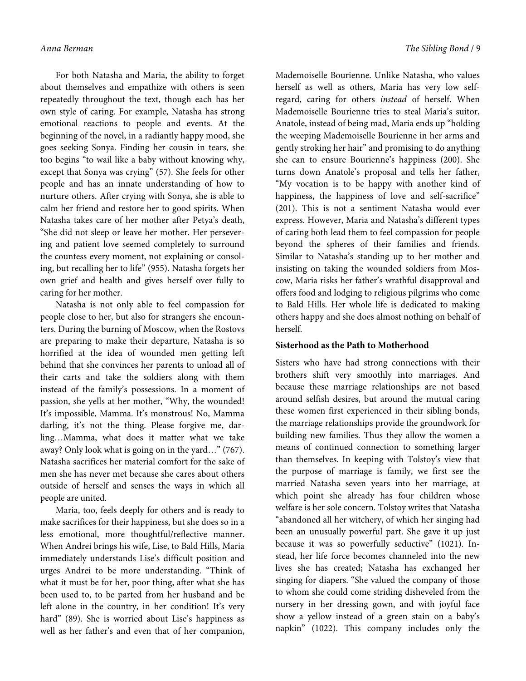For both Natasha and Maria, the ability to forget about themselves and empathize with others is seen repeatedly throughout the text, though each has her own style of caring. For example, Natasha has strong emotional reactions to people and events. At the beginning of the novel, in a radiantly happy mood, she goes seeking Sonya. Finding her cousin in tears, she too begins "to wail like a baby without knowing why, except that Sonya was crying" (57). She feels for other people and has an innate understanding of how to nurture others. After crying with Sonya, she is able to calm her friend and restore her to good spirits. When Natasha takes care of her mother after Petya's death, "She did not sleep or leave her mother. Her persevering and patient love seemed completely to surround the countess every moment, not explaining or consoling, but recalling her to life" (955). Natasha forgets her own grief and health and gives herself over fully to caring for her mother.

Natasha is not only able to feel compassion for people close to her, but also for strangers she encounters. During the burning of Moscow, when the Rostovs are preparing to make their departure, Natasha is so horrified at the idea of wounded men getting left behind that she convinces her parents to unload all of their carts and take the soldiers along with them instead of the family's possessions. In a moment of passion, she yells at her mother, "Why, the wounded! It's impossible, Mamma. It's monstrous! No, Mamma darling, it's not the thing. Please forgive me, darling…Mamma, what does it matter what we take away? Only look what is going on in the yard…" (767). Natasha sacrifices her material comfort for the sake of men she has never met because she cares about others outside of herself and senses the ways in which all people are united.

Maria, too, feels deeply for others and is ready to make sacrifices for their happiness, but she does so in a less emotional, more thoughtful/reflective manner. When Andrei brings his wife, Lise, to Bald Hills, Maria immediately understands Lise's difficult position and urges Andrei to be more understanding. "Think of what it must be for her, poor thing, after what she has been used to, to be parted from her husband and be left alone in the country, in her condition! It's very hard" (89). She is worried about Lise's happiness as well as her father's and even that of her companion,

Mademoiselle Bourienne. Unlike Natasha, who values herself as well as others, Maria has very low selfregard, caring for others instead of herself. When Mademoiselle Bourienne tries to steal Maria's suitor, Anatole, instead of being mad, Maria ends up "holding the weeping Mademoiselle Bourienne in her arms and gently stroking her hair" and promising to do anything she can to ensure Bourienne's happiness (200). She turns down Anatole's proposal and tells her father, "My vocation is to be happy with another kind of happiness, the happiness of love and self-sacrifice" (201). This is not a sentiment Natasha would ever express. However, Maria and Natasha's different types of caring both lead them to feel compassion for people beyond the spheres of their families and friends. Similar to Natasha's standing up to her mother and insisting on taking the wounded soldiers from Moscow, Maria risks her father's wrathful disapproval and offers food and lodging to religious pilgrims who come to Bald Hills. Her whole life is dedicated to making others happy and she does almost nothing on behalf of herself.

## **Sisterhood as the Path to Motherhood**

Sisters who have had strong connections with their brothers shift very smoothly into marriages. And because these marriage relationships are not based around selfish desires, but around the mutual caring these women first experienced in their sibling bonds, the marriage relationships provide the groundwork for building new families. Thus they allow the women a means of continued connection to something larger than themselves. In keeping with Tolstoy's view that the purpose of marriage is family, we first see the married Natasha seven years into her marriage, at which point she already has four children whose welfare is her sole concern. Tolstoy writes that Natasha "abandoned all her witchery, of which her singing had been an unusually powerful part. She gave it up just because it was so powerfully seductive" (1021). Instead, her life force becomes channeled into the new lives she has created; Natasha has exchanged her singing for diapers. "She valued the company of those to whom she could come striding disheveled from the nursery in her dressing gown, and with joyful face show a yellow instead of a green stain on a baby's napkin" (1022). This company includes only the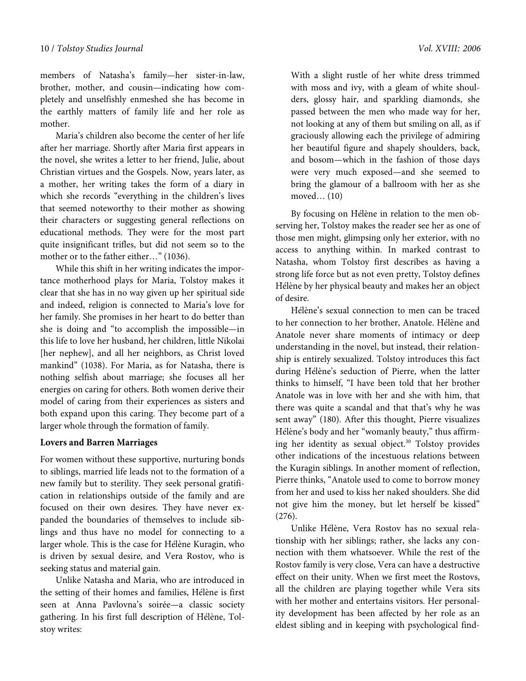members of Natasha's family—her sister-in-law, brother, mother, and cousin—indicating how completely and unselfishly enmeshed she has become in the earthly matters of family life and her role as mother.

Maria's children also become the center of her life after her marriage. Shortly after Maria first appears in the novel, she writes a letter to her friend, Julie, about Christian virtues and the Gospels. Now, years later, as a mother, her writing takes the form of a diary in which she records "everything in the children's lives that seemed noteworthy to their mother as showing their characters or suggesting general reflections on educational methods. They were for the most part quite insignificant trifles, but did not seem so to the mother or to the father either…" (1036).

While this shift in her writing indicates the importance motherhood plays for Maria, Tolstoy makes it clear that she has in no way given up her spiritual side and indeed, religion is connected to Maria's love for her family. She promises in her heart to do better than she is doing and "to accomplish the impossible—in this life to love her husband, her children, little Nikolai [her nephew], and all her neighbors, as Christ loved mankind" (1038). For Maria, as for Natasha, there is nothing selfish about marriage; she focuses all her energies on caring for others. Both women derive their model of caring from their experiences as sisters and both expand upon this caring. They become part of a larger whole through the formation of family.

#### **Lovers and Barren Marriages**

For women without these supportive, nurturing bonds to siblings, married life leads not to the formation of a new family but to sterility. They seek personal gratification in relationships outside of the family and are focused on their own desires. They have never expanded the boundaries of themselves to include siblings and thus have no model for connecting to a larger whole. This is the case for Hélène Kuragin, who is driven by sexual desire, and Vera Rostov, who is seeking status and material gain.

Unlike Natasha and Maria, who are introduced in the setting of their homes and families, Hélène is first seen at Anna Pavlovna's soirée—a classic society gathering. In his first full description of Hélène, Tolstoy writes:

With a slight rustle of her white dress trimmed with moss and ivy, with a gleam of white shoulders, glossy hair, and sparkling diamonds, she passed between the men who made way for her, not looking at any of them but smiling on all, as if graciously allowing each the privilege of admiring her beautiful figure and shapely shoulders, back, and bosom—which in the fashion of those days were very much exposed—and she seemed to bring the glamour of a ballroom with her as she moved… (10)

By focusing on Hélène in relation to the men observing her, Tolstoy makes the reader see her as one of those men might, glimpsing only her exterior, with no access to anything within. In marked contrast to Natasha, whom Tolstoy first describes as having a strong life force but as not even pretty, Tolstoy defines Hélène by her physical beauty and makes her an object of desire.

Hélène's sexual connection to men can be traced to her connection to her brother, Anatole. Hélène and Anatole never share moments of intimacy or deep understanding in the novel, but instead, their relationship is entirely sexualized. Tolstoy introduces this fact during Hélène's seduction of Pierre, when the latter thinks to himself, "I have been told that her brother Anatole was in love with her and she with him, that there was quite a scandal and that that's why he was sent away" (180). After this thought, Pierre visualizes Hélène's body and her "womanly beauty," thus affirming her identity as sexual object.<sup>30</sup> Tolstoy provides other indications of the incestuous relations between the Kuragin siblings. In another moment of reflection, Pierre thinks, "Anatole used to come to borrow money from her and used to kiss her naked shoulders. She did not give him the money, but let herself be kissed" (276).

Unlike Hélène, Vera Rostov has no sexual relationship with her siblings; rather, she lacks any connection with them whatsoever. While the rest of the Rostov family is very close, Vera can have a destructive effect on their unity. When we first meet the Rostovs, all the children are playing together while Vera sits with her mother and entertains visitors. Her personality development has been affected by her role as an eldest sibling and in keeping with psychological find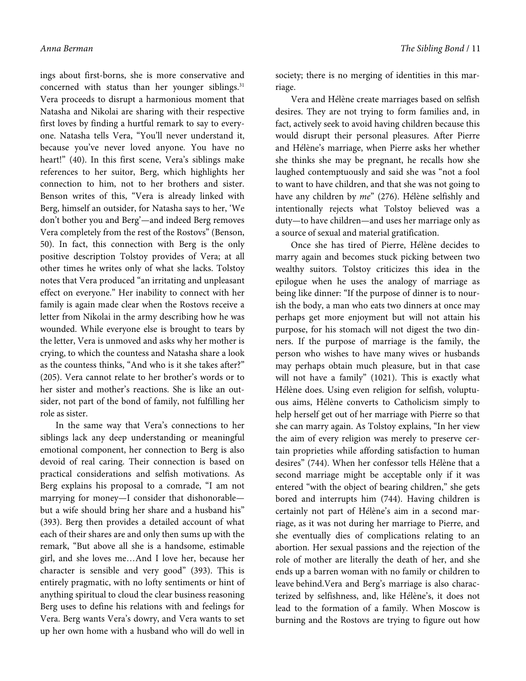ings about first-borns, she is more conservative and concerned with status than her younger siblings. $31$ Vera proceeds to disrupt a harmonious moment that Natasha and Nikolai are sharing with their respective first loves by finding a hurtful remark to say to everyone. Natasha tells Vera, "You'll never understand it, because you've never loved anyone. You have no heart!" (40). In this first scene, Vera's siblings make references to her suitor, Berg, which highlights her connection to him, not to her brothers and sister. Benson writes of this, "Vera is already linked with Berg, himself an outsider, for Natasha says to her, 'We don't bother you and Berg'—and indeed Berg removes Vera completely from the rest of the Rostovs" (Benson, 50). In fact, this connection with Berg is the only positive description Tolstoy provides of Vera; at all other times he writes only of what she lacks. Tolstoy notes that Vera produced "an irritating and unpleasant effect on everyone." Her inability to connect with her family is again made clear when the Rostovs receive a letter from Nikolai in the army describing how he was wounded. While everyone else is brought to tears by the letter, Vera is unmoved and asks why her mother is crying, to which the countess and Natasha share a look as the countess thinks, "And who is it she takes after?" (205). Vera cannot relate to her brother's words or to her sister and mother's reactions. She is like an outsider, not part of the bond of family, not fulfilling her role as sister.

In the same way that Vera's connections to her siblings lack any deep understanding or meaningful emotional component, her connection to Berg is also devoid of real caring. Their connection is based on practical considerations and selfish motivations. As Berg explains his proposal to a comrade, "I am not marrying for money—I consider that dishonorable but a wife should bring her share and a husband his" (393). Berg then provides a detailed account of what each of their shares are and only then sums up with the remark, "But above all she is a handsome, estimable girl, and she loves me…And I love her, because her character is sensible and very good" (393). This is entirely pragmatic, with no lofty sentiments or hint of anything spiritual to cloud the clear business reasoning Berg uses to define his relations with and feelings for Vera. Berg wants Vera's dowry, and Vera wants to set up her own home with a husband who will do well in

society; there is no merging of identities in this marriage.

Vera and Hélène create marriages based on selfish desires. They are not trying to form families and, in fact, actively seek to avoid having children because this would disrupt their personal pleasures. After Pierre and Hélène's marriage, when Pierre asks her whether she thinks she may be pregnant, he recalls how she laughed contemptuously and said she was "not a fool to want to have children, and that she was not going to have any children by me" (276). Hélène selfishly and intentionally rejects what Tolstoy believed was a duty—to have children—and uses her marriage only as a source of sexual and material gratification.

Once she has tired of Pierre, Hélène decides to marry again and becomes stuck picking between two wealthy suitors. Tolstoy criticizes this idea in the epilogue when he uses the analogy of marriage as being like dinner: "If the purpose of dinner is to nourish the body, a man who eats two dinners at once may perhaps get more enjoyment but will not attain his purpose, for his stomach will not digest the two dinners. If the purpose of marriage is the family, the person who wishes to have many wives or husbands may perhaps obtain much pleasure, but in that case will not have a family" (1021). This is exactly what Hélène does. Using even religion for selfish, voluptuous aims, Hélène converts to Catholicism simply to help herself get out of her marriage with Pierre so that she can marry again. As Tolstoy explains, "In her view the aim of every religion was merely to preserve certain proprieties while affording satisfaction to human desires" (744). When her confessor tells Hélène that a second marriage might be acceptable only if it was entered "with the object of bearing children," she gets bored and interrupts him (744). Having children is certainly not part of Hélène's aim in a second marriage, as it was not during her marriage to Pierre, and she eventually dies of complications relating to an abortion. Her sexual passions and the rejection of the role of mother are literally the death of her, and she ends up a barren woman with no family or children to leave behind.Vera and Berg's marriage is also characterized by selfishness, and, like Hélène's, it does not lead to the formation of a family. When Moscow is burning and the Rostovs are trying to figure out how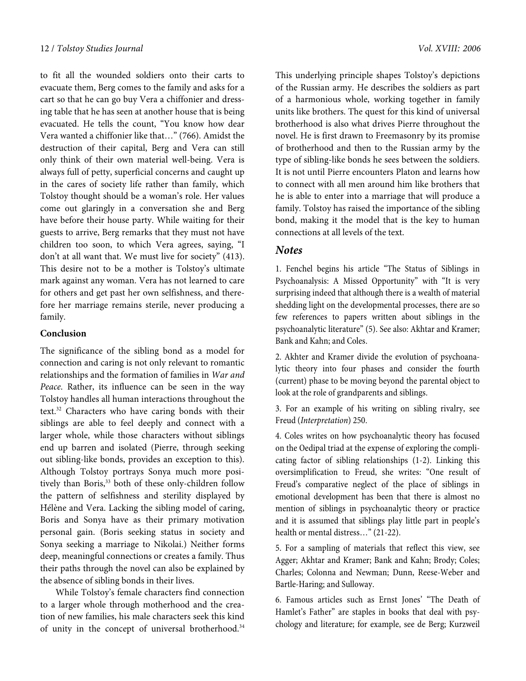to fit all the wounded soldiers onto their carts to evacuate them, Berg comes to the family and asks for a cart so that he can go buy Vera a chiffonier and dressing table that he has seen at another house that is being evacuated. He tells the count, "You know how dear Vera wanted a chiffonier like that…" (766). Amidst the destruction of their capital, Berg and Vera can still only think of their own material well-being. Vera is always full of petty, superficial concerns and caught up in the cares of society life rather than family, which Tolstoy thought should be a woman's role. Her values come out glaringly in a conversation she and Berg have before their house party. While waiting for their guests to arrive, Berg remarks that they must not have children too soon, to which Vera agrees, saying, "I don't at all want that. We must live for society" (413). This desire not to be a mother is Tolstoy's ultimate mark against any woman. Vera has not learned to care for others and get past her own selfishness, and therefore her marriage remains sterile, never producing a family.

# **Conclusion**

The significance of the sibling bond as a model for connection and caring is not only relevant to romantic relationships and the formation of families in War and Peace. Rather, its influence can be seen in the way Tolstoy handles all human interactions throughout the text.<sup>32</sup> Characters who have caring bonds with their siblings are able to feel deeply and connect with a larger whole, while those characters without siblings end up barren and isolated (Pierre, through seeking out sibling-like bonds, provides an exception to this). Although Tolstoy portrays Sonya much more positively than Boris,<sup>33</sup> both of these only-children follow the pattern of selfishness and sterility displayed by Hélène and Vera. Lacking the sibling model of caring, Boris and Sonya have as their primary motivation personal gain. (Boris seeking status in society and Sonya seeking a marriage to Nikolai.) Neither forms deep, meaningful connections or creates a family. Thus their paths through the novel can also be explained by the absence of sibling bonds in their lives.

While Tolstoy's female characters find connection to a larger whole through motherhood and the creation of new families, his male characters seek this kind of unity in the concept of universal brotherhood.<sup>34</sup>

This underlying principle shapes Tolstoy's depictions of the Russian army. He describes the soldiers as part of a harmonious whole, working together in family units like brothers. The quest for this kind of universal brotherhood is also what drives Pierre throughout the novel. He is first drawn to Freemasonry by its promise of brotherhood and then to the Russian army by the type of sibling-like bonds he sees between the soldiers. It is not until Pierre encounters Platon and learns how to connect with all men around him like brothers that he is able to enter into a marriage that will produce a family. Tolstoy has raised the importance of the sibling bond, making it the model that is the key to human connections at all levels of the text.

# **Notes**

1. Fenchel begins his article "The Status of Siblings in Psychoanalysis: A Missed Opportunity" with "It is very surprising indeed that although there is a wealth of material shedding light on the developmental processes, there are so few references to papers written about siblings in the psychoanalytic literature" (5). See also: Akhtar and Kramer; Bank and Kahn; and Coles.

2. Akhter and Kramer divide the evolution of psychoanalytic theory into four phases and consider the fourth (current) phase to be moving beyond the parental object to look at the role of grandparents and siblings.

3. For an example of his writing on sibling rivalry, see Freud (Interpretation) 250.

4. Coles writes on how psychoanalytic theory has focused on the Oedipal triad at the expense of exploring the complicating factor of sibling relationships (1-2). Linking this oversimplification to Freud, she writes: "One result of Freud's comparative neglect of the place of siblings in emotional development has been that there is almost no mention of siblings in psychoanalytic theory or practice and it is assumed that siblings play little part in people's health or mental distress..." (21-22).

5. For a sampling of materials that reflect this view, see Agger; Akhtar and Kramer; Bank and Kahn; Brody; Coles; Charles; Colonna and Newman; Dunn, Reese-Weber and Bartle-Haring; and Sulloway.

6. Famous articles such as Ernst Jones' "The Death of Hamlet's Father" are staples in books that deal with psychology and literature; for example, see de Berg; Kurzweil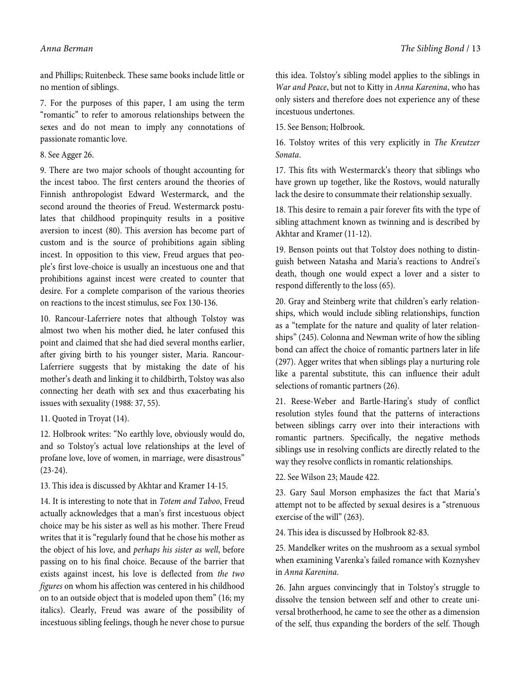and Phillips; Ruitenbeck. These same books include little or no mention of siblings.

7. For the purposes of this paper, I am using the term "romantic" to refer to amorous relationships between the sexes and do not mean to imply any connotations of passionate romantic love.

#### 8. See Agger 26.

9. There are two major schools of thought accounting for the incest taboo. The first centers around the theories of Finnish anthropologist Edward Westermarck, and the second around the theories of Freud. Westermarck postulates that childhood propinquity results in a positive aversion to incest (80). This aversion has become part of custom and is the source of prohibitions again sibling incest. In opposition to this view, Freud argues that people's first love-choice is usually an incestuous one and that prohibitions against incest were created to counter that desire. For a complete comparison of the various theories on reactions to the incest stimulus, see Fox 130-136.

10. Rancour-Laferriere notes that although Tolstoy was almost two when his mother died, he later confused this point and claimed that she had died several months earlier, after giving birth to his younger sister, Maria. Rancour-Laferriere suggests that by mistaking the date of his mother's death and linking it to childbirth, Tolstoy was also connecting her death with sex and thus exacerbating his issues with sexuality (1988: 37, 55).

11. Quoted in Troyat (14).

12. Holbrook writes: "No earthly love, obviously would do, and so Tolstoy's actual love relationships at the level of profane love, love of women, in marriage, were disastrous"  $(23-24).$ 

13. This idea is discussed by Akhtar and Kramer 14-15.

14. It is interesting to note that in Totem and Taboo, Freud actually acknowledges that a man's first incestuous object choice may be his sister as well as his mother. There Freud writes that it is "regularly found that he chose his mother as the object of his love, and perhaps his sister as well, before passing on to his final choice. Because of the barrier that exists against incest, his love is deflected from the two figures on whom his affection was centered in his childhood on to an outside object that is modeled upon them" (16; my italics). Clearly, Freud was aware of the possibility of incestuous sibling feelings, though he never chose to pursue

this idea. Tolstoy's sibling model applies to the siblings in War and Peace, but not to Kitty in Anna Karenina, who has only sisters and therefore does not experience any of these incestuous undertones.

15. See Benson; Holbrook.

16. Tolstoy writes of this very explicitly in The Kreutzer Sonata.

17. This fits with Westermarck's theory that siblings who have grown up together, like the Rostovs, would naturally lack the desire to consummate their relationship sexually.

18. This desire to remain a pair forever fits with the type of sibling attachment known as twinning and is described by Akhtar and Kramer (11-12).

19. Benson points out that Tolstoy does nothing to distinguish between Natasha and Maria's reactions to Andrei's death, though one would expect a lover and a sister to respond differently to the loss (65).

20. Gray and Steinberg write that children's early relationships, which would include sibling relationships, function as a "template for the nature and quality of later relationships" (245). Colonna and Newman write of how the sibling bond can affect the choice of romantic partners later in life (297). Agger writes that when siblings play a nurturing role like a parental substitute, this can influence their adult selections of romantic partners (26).

21. Reese-Weber and Bartle-Haring's study of conflict resolution styles found that the patterns of interactions between siblings carry over into their interactions with romantic partners. Specifically, the negative methods siblings use in resolving conflicts are directly related to the way they resolve conflicts in romantic relationships.

22. See Wilson 23; Maude 422.

23. Gary Saul Morson emphasizes the fact that Maria's attempt not to be affected by sexual desires is a "strenuous exercise of the will" (263).

24. This idea is discussed by Holbrook 82-83.

25. Mandelker writes on the mushroom as a sexual symbol when examining Varenka's failed romance with Koznyshev in Anna Karenina.

26. Jahn argues convincingly that in Tolstoy's struggle to dissolve the tension between self and other to create universal brotherhood, he came to see the other as a dimension of the self, thus expanding the borders of the self. Though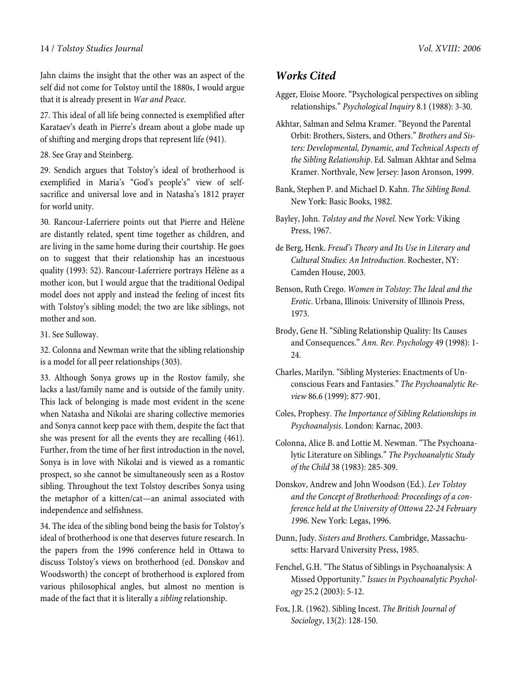Jahn claims the insight that the other was an aspect of the self did not come for Tolstoy until the 1880s, I would argue that it is already present in War and Peace.

27. This ideal of all life being connected is exemplified after Karataev's death in Pierre's dream about a globe made up of shifting and merging drops that represent life (941).

28. See Gray and Steinberg.

29. Sendich argues that Tolstoy's ideal of brotherhood is exemplified in Maria's "God's people's" view of selfsacrifice and universal love and in Natasha's 1812 prayer for world unity.

30. Rancour-Laferriere points out that Pierre and Hélène are distantly related, spent time together as children, and are living in the same home during their courtship. He goes on to suggest that their relationship has an incestuous quality (1993: 52). Rancour-Laferriere portrays Hélène as a mother icon, but I would argue that the traditional Oedipal model does not apply and instead the feeling of incest fits with Tolstoy's sibling model; the two are like siblings, not mother and son.

31. See Sulloway.

32. Colonna and Newman write that the sibling relationship is a model for all peer relationships (303).

33. Although Sonya grows up in the Rostov family, she lacks a last/family name and is outside of the family unity. This lack of belonging is made most evident in the scene when Natasha and Nikolai are sharing collective memories and Sonya cannot keep pace with them, despite the fact that she was present for all the events they are recalling (461). Further, from the time of her first introduction in the novel, Sonya is in love with Nikolai and is viewed as a romantic prospect, so she cannot be simultaneously seen as a Rostov sibling. Throughout the text Tolstoy describes Sonya using the metaphor of a kitten/cat—an animal associated with independence and selfishness.

34. The idea of the sibling bond being the basis for Tolstoy's ideal of brotherhood is one that deserves future research. In the papers from the 1996 conference held in Ottawa to discuss Tolstoy's views on brotherhood (ed. Donskov and Woodsworth) the concept of brotherhood is explored from various philosophical angles, but almost no mention is made of the fact that it is literally a sibling relationship.

# **Works Cited**

- Agger, Eloise Moore. "Psychological perspectives on sibling relationships." Psychological Inquiry 8.1 (1988): 3-30.
- Akhtar, Salman and Selma Kramer. "Beyond the Parental Orbit: Brothers, Sisters, and Others." Brothers and Sisters: Developmental, Dynamic, and Technical Aspects of the Sibling Relationship. Ed. Salman Akhtar and Selma Kramer. Northvale, New Jersey: Jason Aronson, 1999.
- Bank, Stephen P. and Michael D. Kahn. The Sibling Bond. New York: Basic Books, 1982.
- Bayley, John. Tolstoy and the Novel. New York: Viking Press, 1967.
- de Berg, Henk. Freud's Theory and Its Use in Literary and Cultural Studies: An Introduction. Rochester, NY: Camden House, 2003.
- Benson, Ruth Crego. Women in Tolstoy: The Ideal and the Erotic. Urbana, Illinois: University of Illinois Press, 1973.
- Brody, Gene H. "Sibling Relationship Quality: Its Causes and Consequences." Ann. Rev. Psychology 49 (1998): 1- 24.
- Charles, Marilyn. "Sibling Mysteries: Enactments of Unconscious Fears and Fantasies." The Psychoanalytic Review 86.6 (1999): 877-901.
- Coles, Prophesy. The Importance of Sibling Relationships in Psychoanalysis. London: Karnac, 2003.
- Colonna, Alice B. and Lottie M. Newman. "The Psychoanalytic Literature on Siblings." The Psychoanalytic Study of the Child 38 (1983): 285-309.
- Donskov, Andrew and John Woodson (Ed.). Lev Tolstoy and the Concept of Brotherhood: Proceedings of a conference held at the University of Ottowa 22-24 February 1996. New York: Legas, 1996.
- Dunn, Judy. Sisters and Brothers. Cambridge, Massachusetts: Harvard University Press, 1985.
- Fenchel, G.H. "The Status of Siblings in Psychoanalysis: A Missed Opportunity." Issues in Psychoanalytic Psychology 25.2 (2003): 5-12.
- Fox, J.R. (1962). Sibling Incest. The British Journal of Sociology, 13(2): 128-150.